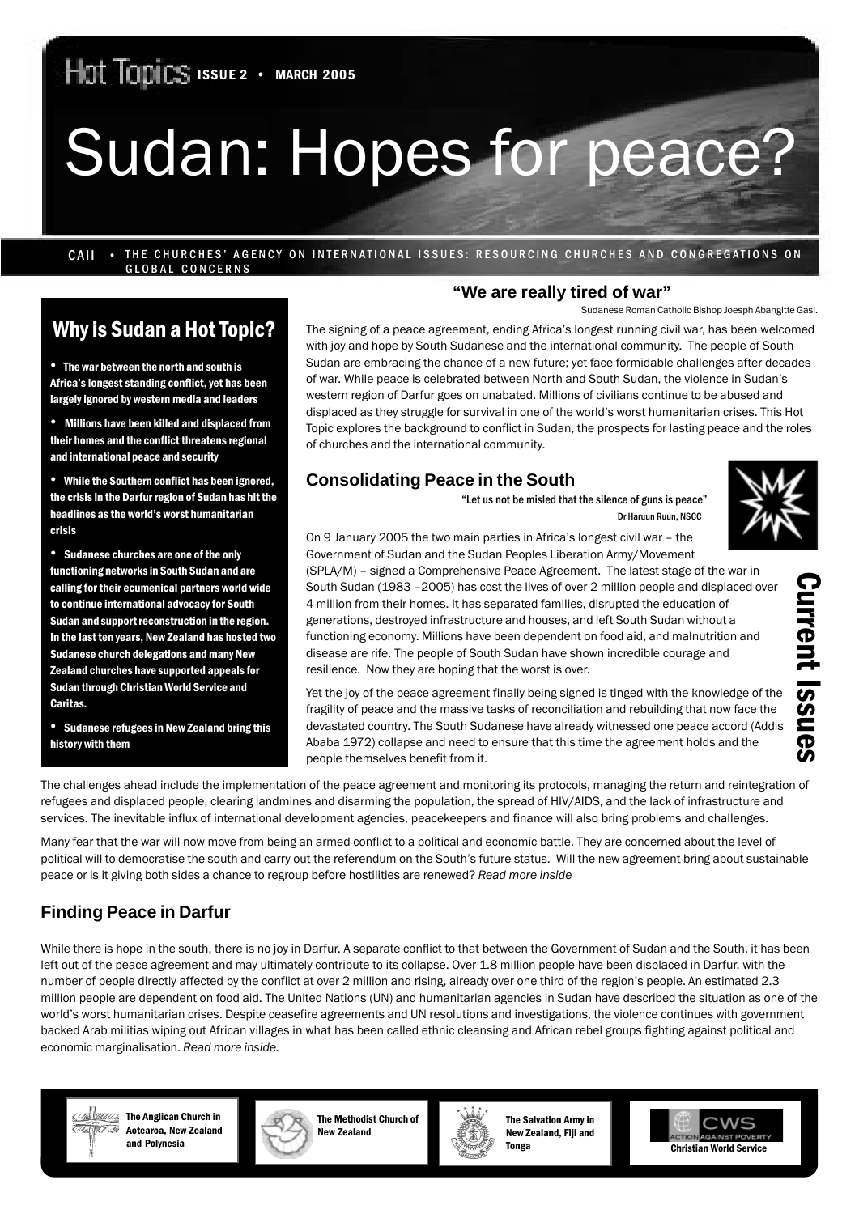# Sudan: Hopes for peace?

CAII • THE CHURCHES' AGENCY ON INTERNATIONAL ISSUES: RESOURCING CHURCHES AND CONGREGATIONS ON GLOBAL CONCERNS

### Why is Sudan a Hot Topic?

• The war between the north and south is Africa's longest standing conflict, yet has been largely ignored by western media and leaders

• Millions have been killed and displaced from their homes and the conflict threatens regional and international peace and security

• While the Southern conflict has been ignored, the crisis in the Darfur region of Sudan has hit the headlines as the world's worst humanitarian crisis

• Sudanese churches are one of the only functioning networks in South Sudan and are calling for their ecumenical partners world wide to continue international advocacy for South Sudan and support reconstruction in the region. In the last ten years, New Zealand has hosted two Sudanese church delegations and many New Zealand churches have supported appeals for Sudan through Christian World Service and Caritas.

• Sudanese refugees in New Zealand bring this history with them

#### **"We are really tired of war"**

Sudanese Roman Catholic Bishop Joesph Abangitte Gasi.

The signing of a peace agreement, ending Africa's longest running civil war, has been welcomed with joy and hope by South Sudanese and the international community. The people of South Sudan are embracing the chance of a new future; yet face formidable challenges after decades of war. While peace is celebrated between North and South Sudan, the violence in Sudan's western region of Darfur goes on unabated. Millions of civilians continue to be abused and displaced as they struggle for survival in one of the world's worst humanitarian crises. This Hot Topic explores the background to conflict in Sudan, the prospects for lasting peace and the roles of churches and the international community.

#### **Consolidating Peace in the South**



Current Issues

**Current Issues** 

"Let us not be misled that the silence of guns is peace" Dr Haruun Ruun, NSCC

On 9 January 2005 the two main parties in Africa's longest civil war – the Government of Sudan and the Sudan Peoples Liberation Army/Movement (SPLA/M) – signed a Comprehensive Peace Agreement. The latest stage of the war in South Sudan (1983 –2005) has cost the lives of over 2 million people and displaced over 4 million from their homes. It has separated families, disrupted the education of generations, destroyed infrastructure and houses, and left South Sudan without a functioning economy. Millions have been dependent on food aid, and malnutrition and disease are rife. The people of South Sudan have shown incredible courage and resilience. Now they are hoping that the worst is over.

Yet the joy of the peace agreement finally being signed is tinged with the knowledge of the fragility of peace and the massive tasks of reconciliation and rebuilding that now face the devastated country. The South Sudanese have already witnessed one peace accord (Addis Ababa 1972) collapse and need to ensure that this time the agreement holds and the people themselves benefit from it.

The challenges ahead include the implementation of the peace agreement and monitoring its protocols, managing the return and reintegration of refugees and displaced people, clearing landmines and disarming the population, the spread of HIV/AIDS, and the lack of infrastructure and services. The inevitable influx of international development agencies, peacekeepers and finance will also bring problems and challenges.

Many fear that the war will now move from being an armed conflict to a political and economic battle. They are concerned about the level of political will to democratise the south and carry out the referendum on the South's future status. Will the new agreement bring about sustainable peace or is it giving both sides a chance to regroup before hostilities are renewed? *Read more inside*

#### **Finding Peace in Darfur**

While there is hope in the south, there is no joy in Darfur. A separate conflict to that between the Government of Sudan and the South, it has been left out of the peace agreement and may ultimately contribute to its collapse. Over 1.8 million people have been displaced in Darfur, with the number of people directly affected by the conflict at over 2 million and rising, already over one third of the region's people. An estimated 2.3 million people are dependent on food aid. The United Nations (UN) and humanitarian agencies in Sudan have described the situation as one of the world's worst humanitarian crises. Despite ceasefire agreements and UN resolutions and investigations, the violence continues with government backed Arab militias wiping out African villages in what has been called ethnic cleansing and African rebel groups fighting against political and economic marginalisation. *Read more inside.*



**Alikkking** The Anglican Church in Aotearoa, New Zealand and Polynesia



The Methodist Church of New Zealand



The Salvation Army in New Zealand, Fiji and Tonga

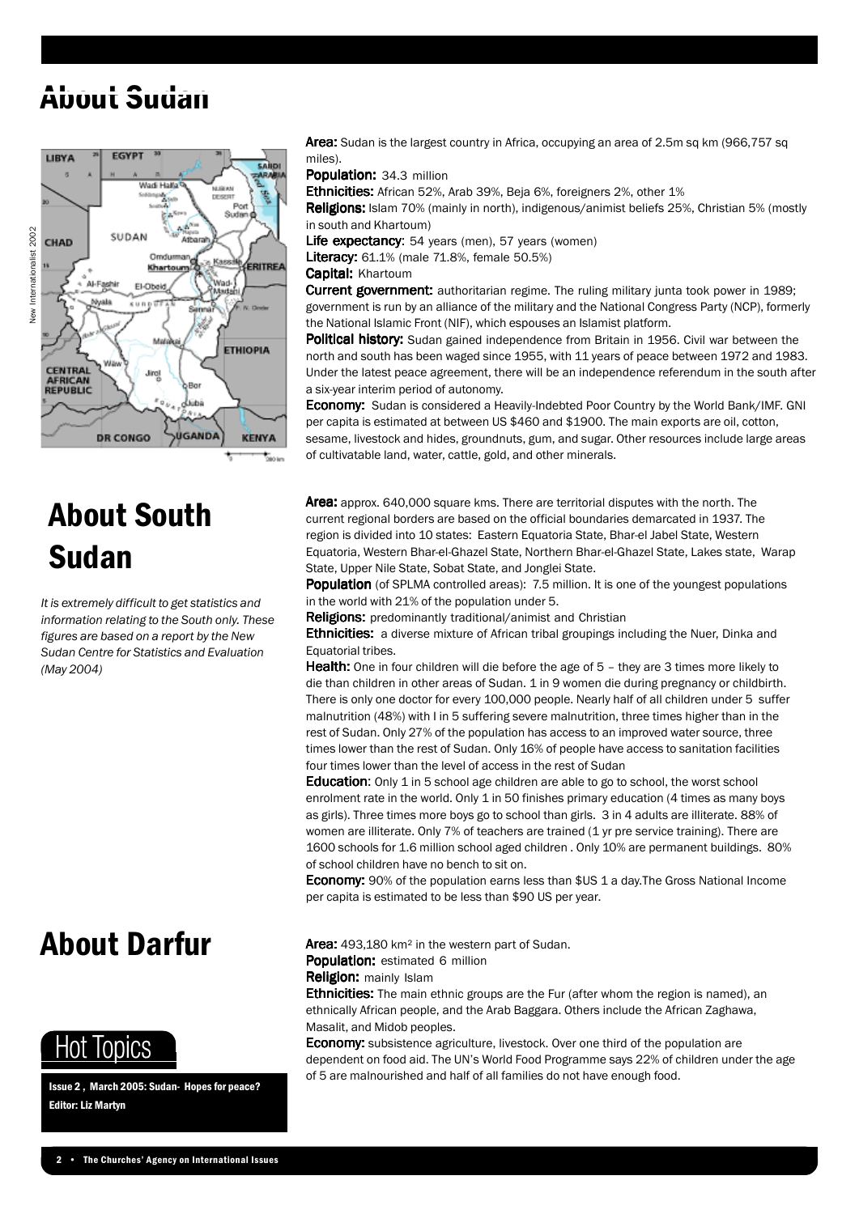### About Sudan



# About South Sudan

*It is extremely difficult to get statistics and information relating to the South only. These figures are based on a report by the New Sudan Centre for Statistics and Evaluation (May 2004)*

### About Darfur



Issue 2 , March 2005: Sudan- Hopes for peace? Editor: Liz Martyn

Area: Sudan is the largest country in Africa, occupying an area of 2.5m sq km (966,757 sq miles).

Population: 34.3 million

Ethnicities: African 52%, Arab 39%, Beja 6%, foreigners 2%, other 1%

Religions: Islam 70% (mainly in north), indigenous/animist beliefs 25%, Christian 5% (mostly in south and Khartoum)

Life expectancy: 54 years (men), 57 years (women)

**Literacy:** 61.1% (male 71.8%, female 50.5%)

Capital: Khartoum

Current government: authoritarian regime. The ruling military junta took power in 1989; government is run by an alliance of the military and the National Congress Party (NCP), formerly the National Islamic Front (NIF), which espouses an Islamist platform.

Political history: Sudan gained independence from Britain in 1956. Civil war between the north and south has been waged since 1955, with 11 years of peace between 1972 and 1983. Under the latest peace agreement, there will be an independence referendum in the south after a six-year interim period of autonomy.

**Economy:** Sudan is considered a Heavily-Indebted Poor Country by the World Bank/IMF. GNI per capita is estimated at between US \$460 and \$1900. The main exports are oil, cotton, sesame, livestock and hides, groundnuts, gum, and sugar. Other resources include large areas of cultivatable land, water, cattle, gold, and other minerals.

Area: approx. 640,000 square kms. There are territorial disputes with the north. The current regional borders are based on the official boundaries demarcated in 1937. The region is divided into 10 states: Eastern Equatoria State, Bhar-el Jabel State, Western Equatoria, Western Bhar-el-Ghazel State, Northern Bhar-el-Ghazel State, Lakes state, Warap State, Upper Nile State, Sobat State, and Jonglei State.

Population (of SPLMA controlled areas): 7.5 million. It is one of the youngest populations in the world with 21% of the population under 5.

Religions: predominantly traditional/animist and Christian

**Ethnicities:** a diverse mixture of African tribal groupings including the Nuer, Dinka and Equatorial tribes.

Health: One in four children will die before the age of 5 - they are 3 times more likely to die than children in other areas of Sudan. 1 in 9 women die during pregnancy or childbirth. There is only one doctor for every 100,000 people. Nearly half of all children under 5 suffer malnutrition (48%) with I in 5 suffering severe malnutrition, three times higher than in the rest of Sudan. Only 27% of the population has access to an improved water source, three times lower than the rest of Sudan. Only 16% of people have access to sanitation facilities four times lower than the level of access in the rest of Sudan

Education: Only 1 in 5 school age children are able to go to school, the worst school enrolment rate in the world. Only 1 in 50 finishes primary education (4 times as many boys as girls). Three times more boys go to school than girls. 3 in 4 adults are illiterate. 88% of women are illiterate. Only 7% of teachers are trained (1 yr pre service training). There are 1600 schools for 1.6 million school aged children . Only 10% are permanent buildings. 80% of school children have no bench to sit on.

**Economy:** 90% of the population earns less than \$US 1 a day. The Gross National Income per capita is estimated to be less than \$90 US per year.

Area: 493,180 km<sup>2</sup> in the western part of Sudan. Population: estimated 6 million

Religion: mainly Islam

**Ethnicities:** The main ethnic groups are the Fur (after whom the region is named), an ethnically African people, and the Arab Baggara. Others include the African Zaghawa, Masalit, and Midob peoples.

**Economy:** subsistence agriculture, livestock. Over one third of the population are dependent on food aid. The UN's World Food Programme says 22% of children under the age of 5 are malnourished and half of all families do not have enough food.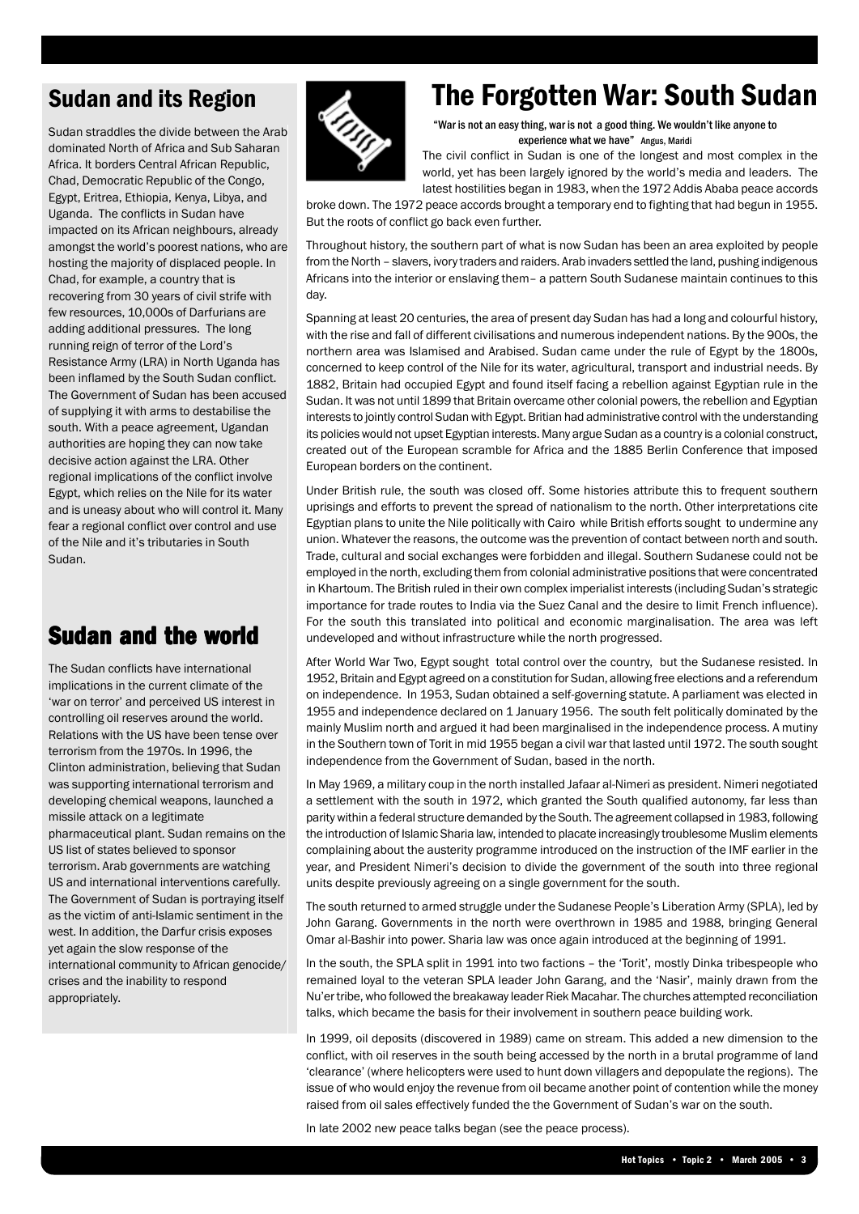### Sudan and its Region

Sudan straddles the divide between the Arab dominated North of Africa and Sub Saharan Africa. It borders Central African Republic, Chad, Democratic Republic of the Congo, Egypt, Eritrea, Ethiopia, Kenya, Libya, and Uganda. The conflicts in Sudan have impacted on its African neighbours, already amongst the world's poorest nations, who are hosting the majority of displaced people. In Chad, for example, a country that is recovering from 30 years of civil strife with few resources, 10,000s of Darfurians are adding additional pressures. The long running reign of terror of the Lord's Resistance Army (LRA) in North Uganda has been inflamed by the South Sudan conflict. The Government of Sudan has been accused of supplying it with arms to destabilise the south. With a peace agreement, Ugandan authorities are hoping they can now take decisive action against the LRA. Other regional implications of the conflict involve Egypt, which relies on the Nile for its water and is uneasy about who will control it. Many fear a regional conflict over control and use of the Nile and it's tributaries in South Sudan.

### **Sudan and the world**

The Sudan conflicts have international implications in the current climate of the 'war on terror' and perceived US interest in controlling oil reserves around the world. Relations with the US have been tense over terrorism from the 1970s. In 1996, the Clinton administration, believing that Sudan was supporting international terrorism and developing chemical weapons, launched a missile attack on a legitimate pharmaceutical plant. Sudan remains on the US list of states believed to sponsor terrorism. Arab governments are watching US and international interventions carefully. The Government of Sudan is portraying itself as the victim of anti-Islamic sentiment in the west. In addition, the Darfur crisis exposes yet again the slow response of the international community to African genocide/ crises and the inability to respond appropriately.



### The Forgotten War: South Sudan

"War is not an easy thing, war is not a good thing. We wouldn't like anyone to experience what we have" Angus, Maridi

The civil conflict in Sudan is one of the longest and most complex in the world, yet has been largely ignored by the world's media and leaders. The latest hostilities began in 1983, when the 1972 Addis Ababa peace accords

broke down. The 1972 peace accords brought a temporary end to fighting that had begun in 1955. But the roots of conflict go back even further.

Throughout history, the southern part of what is now Sudan has been an area exploited by people from the North – slavers, ivory traders and raiders. Arab invaders settled the land, pushing indigenous Africans into the interior or enslaving them– a pattern South Sudanese maintain continues to this day.

Spanning at least 20 centuries, the area of present day Sudan has had a long and colourful history, with the rise and fall of different civilisations and numerous independent nations. By the 900s, the northern area was Islamised and Arabised. Sudan came under the rule of Egypt by the 1800s, concerned to keep control of the Nile for its water, agricultural, transport and industrial needs. By 1882, Britain had occupied Egypt and found itself facing a rebellion against Egyptian rule in the Sudan. It was not until 1899 that Britain overcame other colonial powers, the rebellion and Egyptian interests to jointly control Sudan with Egypt. Britian had administrative control with the understanding its policies would not upset Egyptian interests. Many argue Sudan as a country is a colonial construct, created out of the European scramble for Africa and the 1885 Berlin Conference that imposed European borders on the continent.

Under British rule, the south was closed off. Some histories attribute this to frequent southern uprisings and efforts to prevent the spread of nationalism to the north. Other interpretations cite Egyptian plans to unite the Nile politically with Cairo while British efforts sought to undermine any union. Whatever the reasons, the outcome was the prevention of contact between north and south. Trade, cultural and social exchanges were forbidden and illegal. Southern Sudanese could not be employed in the north, excluding them from colonial administrative positions that were concentrated in Khartoum. The British ruled in their own complex imperialist interests (including Sudan's strategic importance for trade routes to India via the Suez Canal and the desire to limit French influence). For the south this translated into political and economic marginalisation. The area was left undeveloped and without infrastructure while the north progressed.

After World War Two, Egypt sought total control over the country, but the Sudanese resisted. In 1952, Britain and Egypt agreed on a constitution for Sudan, allowing free elections and a referendum on independence. In 1953, Sudan obtained a self-governing statute. A parliament was elected in 1955 and independence declared on 1 January 1956. The south felt politically dominated by the mainly Muslim north and argued it had been marginalised in the independence process. A mutiny in the Southern town of Torit in mid 1955 began a civil war that lasted until 1972. The south sought independence from the Government of Sudan, based in the north.

In May 1969, a military coup in the north installed Jafaar al-Nimeri as president. Nimeri negotiated a settlement with the south in 1972, which granted the South qualified autonomy, far less than parity within a federal structure demanded by the South. The agreement collapsed in 1983, following the introduction of Islamic Sharia law, intended to placate increasingly troublesome Muslim elements complaining about the austerity programme introduced on the instruction of the IMF earlier in the year, and President Nimeri's decision to divide the government of the south into three regional units despite previously agreeing on a single government for the south.

The south returned to armed struggle under the Sudanese People's Liberation Army (SPLA), led by John Garang. Governments in the north were overthrown in 1985 and 1988, bringing General Omar al-Bashir into power. Sharia law was once again introduced at the beginning of 1991.

In the south, the SPLA split in 1991 into two factions – the 'Torit', mostly Dinka tribespeople who remained loyal to the veteran SPLA leader John Garang, and the 'Nasir', mainly drawn from the Nu'er tribe, who followed the breakaway leader Riek Macahar. The churches attempted reconciliation talks, which became the basis for their involvement in southern peace building work.

In 1999, oil deposits (discovered in 1989) came on stream. This added a new dimension to the conflict, with oil reserves in the south being accessed by the north in a brutal programme of land 'clearance' (where helicopters were used to hunt down villagers and depopulate the regions). The issue of who would enjoy the revenue from oil became another point of contention while the money raised from oil sales effectively funded the the Government of Sudan's war on the south.

In late 2002 new peace talks began (see the peace process).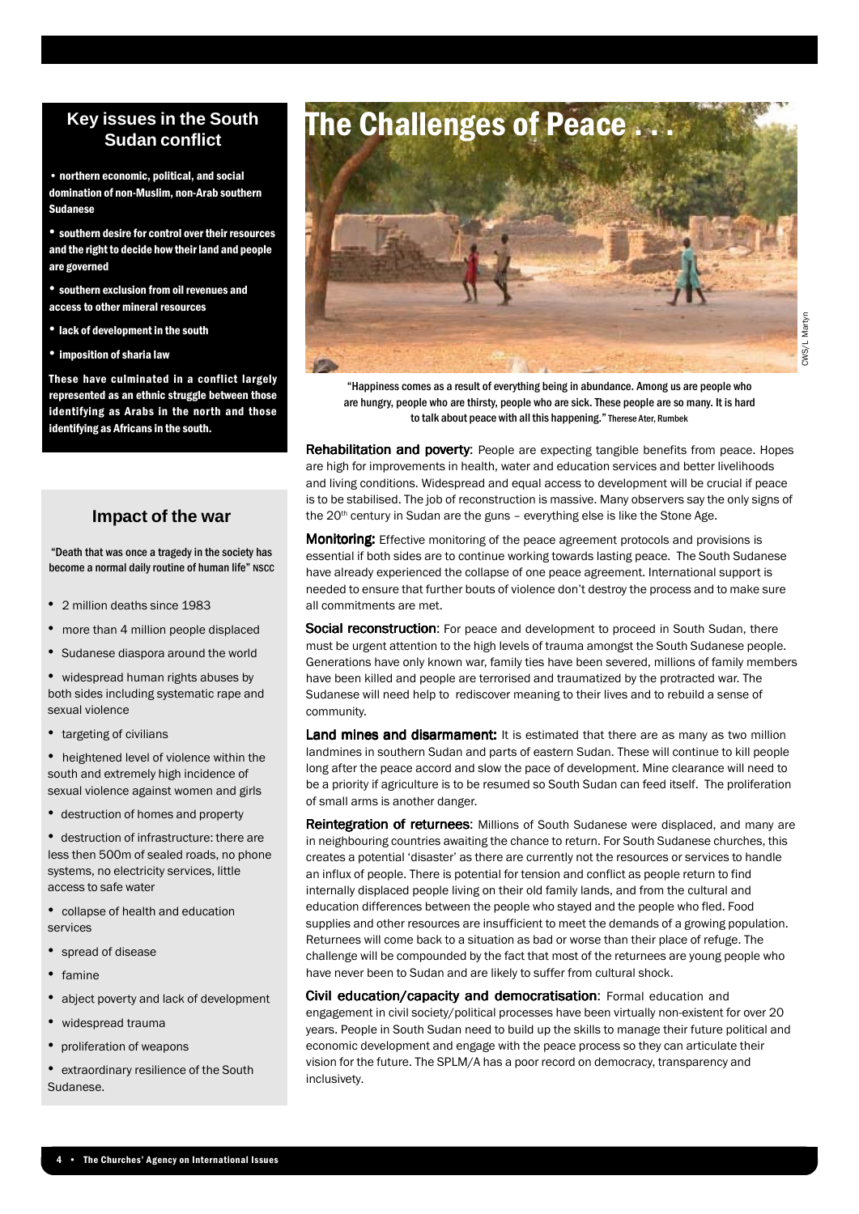#### **Key issues in the South Sudan conflict**

• northern economic, political, and social domination of non-Muslim, non-Arab southern Sudanese

• southern desire for control over their resources and the right to decide how their land and people are governed

• southern exclusion from oil revenues and access to other mineral resources

• lack of development in the south

• imposition of sharia law

These have culminated in a conflict largely represented as an ethnic struggle between those identifying as Arabs in the north and those identifying as Africans in the south.

#### **Impact of the war**

"Death that was once a tragedy in the society has become a normal daily routine of human life" NSCC

- 2 million deaths since 1983
- more than 4 million people displaced
- Sudanese diaspora around the world

• widespread human rights abuses by both sides including systematic rape and sexual violence

• targeting of civilians

• heightened level of violence within the south and extremely high incidence of sexual violence against women and girls

• destruction of homes and property

• destruction of infrastructure: there are less then 500m of sealed roads, no phone systems, no electricity services, little access to safe water

- collapse of health and education services
- spread of disease
- famine
- abject poverty and lack of development
- widespread trauma
- proliferation of weapons
- extraordinary resilience of the South Sudanese.



"Happiness comes as a result of everything being in abundance. Among us are people who are hungry, people who are thirsty, people who are sick. These people are so many. It is hard to talk about peace with all this happening." Therese Ater, Rumbek

Rehabilitation and poverty: People are expecting tangible benefits from peace. Hopes are high for improvements in health, water and education services and better livelihoods and living conditions. Widespread and equal access to development will be crucial if peace is to be stabilised. The job of reconstruction is massive. Many observers say the only signs of the  $20<sup>th</sup>$  century in Sudan are the guns – everything else is like the Stone Age.

**Monitoring:** Effective monitoring of the peace agreement protocols and provisions is essential if both sides are to continue working towards lasting peace. The South Sudanese have already experienced the collapse of one peace agreement. International support is needed to ensure that further bouts of violence don't destroy the process and to make sure all commitments are met.

Social reconstruction: For peace and development to proceed in South Sudan, there must be urgent attention to the high levels of trauma amongst the South Sudanese people. Generations have only known war, family ties have been severed, millions of family members have been killed and people are terrorised and traumatized by the protracted war. The Sudanese will need help to rediscover meaning to their lives and to rebuild a sense of community.

**Land mines and disarmament:** It is estimated that there are as many as two million landmines in southern Sudan and parts of eastern Sudan. These will continue to kill people long after the peace accord and slow the pace of development. Mine clearance will need to be a priority if agriculture is to be resumed so South Sudan can feed itself. The proliferation of small arms is another danger.

Reintegration of returnees: Millions of South Sudanese were displaced, and many are in neighbouring countries awaiting the chance to return. For South Sudanese churches, this creates a potential 'disaster' as there are currently not the resources or services to handle an influx of people. There is potential for tension and conflict as people return to find internally displaced people living on their old family lands, and from the cultural and education differences between the people who stayed and the people who fled. Food supplies and other resources are insufficient to meet the demands of a growing population. Returnees will come back to a situation as bad or worse than their place of refuge. The challenge will be compounded by the fact that most of the returnees are young people who have never been to Sudan and are likely to suffer from cultural shock.

Civil education/capacity and democratisation: Formal education and engagement in civil society/political processes have been virtually non-existent for over 20 years. People in South Sudan need to build up the skills to manage their future political and economic development and engage with the peace process so they can articulate their vision for the future. The SPLM/A has a poor record on democracy, transparency and inclusivety.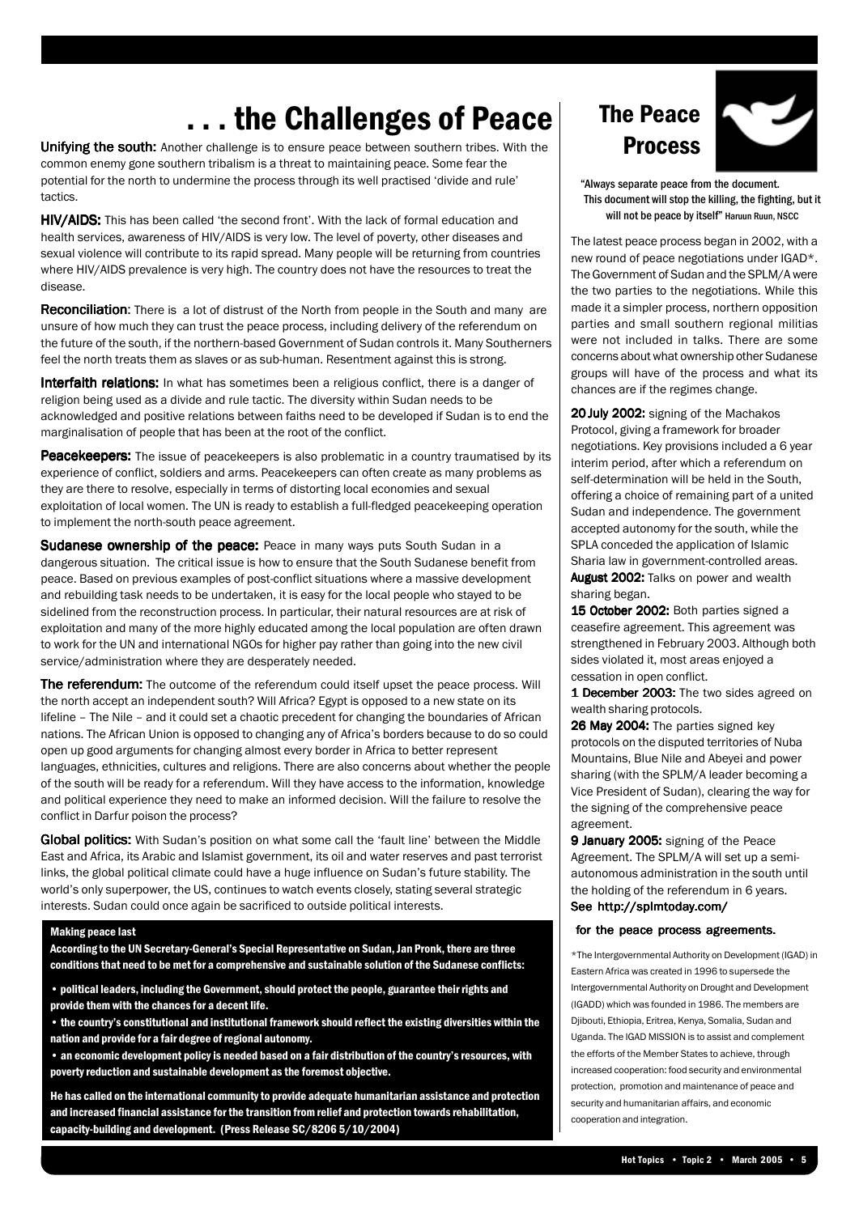### . . . the Challenges of Peace

Unifying the south: Another challenge is to ensure peace between southern tribes. With the common enemy gone southern tribalism is a threat to maintaining peace. Some fear the potential for the north to undermine the process through its well practised 'divide and rule' tactics.

HIV/AIDS: This has been called 'the second front'. With the lack of formal education and health services, awareness of HIV/AIDS is very low. The level of poverty, other diseases and sexual violence will contribute to its rapid spread. Many people will be returning from countries where HIV/AIDS prevalence is very high. The country does not have the resources to treat the disease.

**Reconciliation:** There is a lot of distrust of the North from people in the South and many are unsure of how much they can trust the peace process, including delivery of the referendum on the future of the south, if the northern-based Government of Sudan controls it. Many Southerners feel the north treats them as slaves or as sub-human. Resentment against this is strong.

Interfaith relations: In what has sometimes been a religious conflict, there is a danger of religion being used as a divide and rule tactic. The diversity within Sudan needs to be acknowledged and positive relations between faiths need to be developed if Sudan is to end the marginalisation of people that has been at the root of the conflict.

**Peacekeepers:** The issue of peacekeepers is also problematic in a country traumatised by its experience of conflict, soldiers and arms. Peacekeepers can often create as many problems as they are there to resolve, especially in terms of distorting local economies and sexual exploitation of local women. The UN is ready to establish a full-fledged peacekeeping operation to implement the north-south peace agreement.

Sudanese ownership of the peace: Peace in many ways puts South Sudan in a dangerous situation. The critical issue is how to ensure that the South Sudanese benefit from peace. Based on previous examples of post-conflict situations where a massive development and rebuilding task needs to be undertaken, it is easy for the local people who stayed to be sidelined from the reconstruction process. In particular, their natural resources are at risk of exploitation and many of the more highly educated among the local population are often drawn to work for the UN and international NGOs for higher pay rather than going into the new civil service/administration where they are desperately needed.

**The referendum:** The outcome of the referendum could itself upset the peace process. Will the north accept an independent south? Will Africa? Egypt is opposed to a new state on its lifeline – The Nile – and it could set a chaotic precedent for changing the boundaries of African nations. The African Union is opposed to changing any of Africa's borders because to do so could open up good arguments for changing almost every border in Africa to better represent languages, ethnicities, cultures and religions. There are also concerns about whether the people of the south will be ready for a referendum. Will they have access to the information, knowledge and political experience they need to make an informed decision. Will the failure to resolve the conflict in Darfur poison the process?

Global politics: With Sudan's position on what some call the 'fault line' between the Middle East and Africa, its Arabic and Islamist government, its oil and water reserves and past terrorist links, the global political climate could have a huge influence on Sudan's future stability. The world's only superpower, the US, continues to watch events closely, stating several strategic interests. Sudan could once again be sacrificed to outside political interests.

#### Making peace last

According to the UN Secretary-General's Special Representative on Sudan, Jan Pronk, there are three conditions that need to be met for a comprehensive and sustainable solution of the Sudanese conflicts:

• political leaders, including the Government, should protect the people, guarantee their rights and provide them with the chances for a decent life.

• the country's constitutional and institutional framework should reflect the existing diversities within the nation and provide for a fair degree of regional autonomy.

• an economic development policy is needed based on a fair distribution of the country's resources, with poverty reduction and sustainable development as the foremost objective.

He has called on the international community to provide adequate humanitarian assistance and protection and increased financial assistance for the transition from relief and protection towards rehabilitation, capacity-building and development. (Press Release SC/8206 5/10/2004)

### The Peace Process



"Always separate peace from the document. This document will stop the killing, the fighting, but it will not be peace by itself" Haruun Ruun, NSCC

The latest peace process began in 2002, with a new round of peace negotiations under IGAD\*. The Government of Sudan and the SPLM/A were the two parties to the negotiations. While this made it a simpler process, northern opposition parties and small southern regional militias were not included in talks. There are some concerns about what ownership other Sudanese groups will have of the process and what its chances are if the regimes change.

20 July 2002: signing of the Machakos Protocol, giving a framework for broader negotiations. Key provisions included a 6 year interim period, after which a referendum on self-determination will be held in the South, offering a choice of remaining part of a united Sudan and independence. The government accepted autonomy for the south, while the SPLA conceded the application of Islamic Sharia law in government-controlled areas. August 2002: Talks on power and wealth sharing began.

15 October 2002: Both parties signed a ceasefire agreement. This agreement was strengthened in February 2003. Although both sides violated it, most areas enjoyed a cessation in open conflict.

1 December 2003: The two sides agreed on wealth sharing protocols.

26 May 2004: The parties signed key protocols on the disputed territories of Nuba Mountains, Blue Nile and Abeyei and power sharing (with the SPLM/A leader becoming a Vice President of Sudan), clearing the way for the signing of the comprehensive peace agreement.

9 January 2005: signing of the Peace Agreement. The SPLM/A will set up a semiautonomous administration in the south until the holding of the referendum in 6 years. See http://splmtoday.com/

#### for the peace process agreements.

\*The Intergovernmental Authority on Development (IGAD) in Eastern Africa was created in 1996 to supersede the Intergovernmental Authority on Drought and Development (IGADD) which was founded in 1986. The members are Djibouti, Ethiopia, Eritrea, Kenya, Somalia, Sudan and Uganda. The IGAD MISSION is to assist and complement the efforts of the Member States to achieve, through increased cooperation: food security and environmental protection, promotion and maintenance of peace and security and humanitarian affairs, and economic cooperation and integration.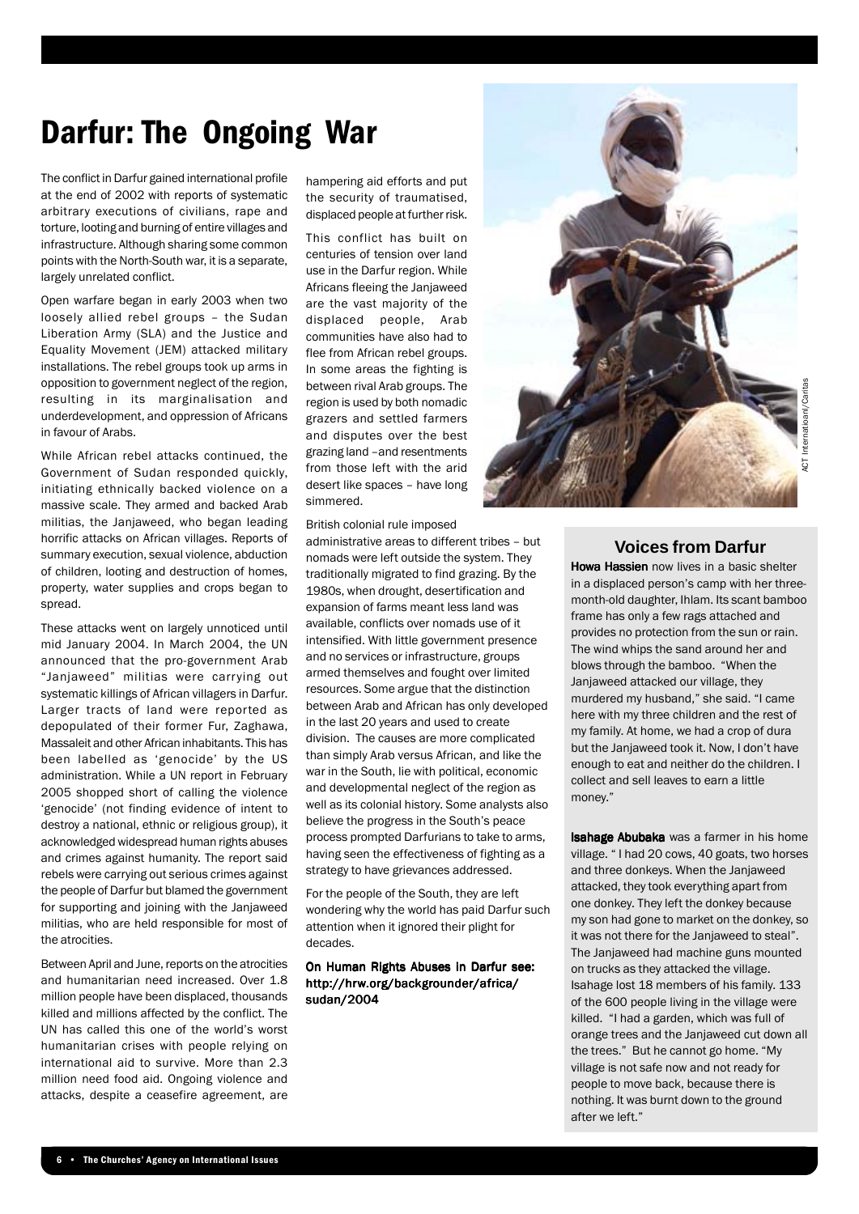### Darfur: The Ongoing War

The conflict in Darfur gained international profile at the end of 2002 with reports of systematic arbitrary executions of civilians, rape and torture, looting and burning of entire villages and infrastructure. Although sharing some common points with the North-South war, it is a separate, largely unrelated conflict.

Open warfare began in early 2003 when two loosely allied rebel groups – the Sudan Liberation Army (SLA) and the Justice and Equality Movement (JEM) attacked military installations. The rebel groups took up arms in opposition to government neglect of the region, resulting in its marginalisation and underdevelopment, and oppression of Africans in favour of Arabs.

While African rebel attacks continued, the Government of Sudan responded quickly, initiating ethnically backed violence on a massive scale. They armed and backed Arab militias, the Janjaweed, who began leading horrific attacks on African villages. Reports of summary execution, sexual violence, abduction of children, looting and destruction of homes, property, water supplies and crops began to spread.

These attacks went on largely unnoticed until mid January 2004. In March 2004, the UN announced that the pro-government Arab "Janjaweed" militias were carrying out systematic killings of African villagers in Darfur. Larger tracts of land were reported as depopulated of their former Fur, Zaghawa, Massaleit and other African inhabitants. This has been labelled as 'genocide' by the US administration. While a UN report in February 2005 shopped short of calling the violence 'genocide' (not finding evidence of intent to destroy a national, ethnic or religious group), it acknowledged widespread human rights abuses and crimes against humanity. The report said rebels were carrying out serious crimes against the people of Darfur but blamed the government for supporting and joining with the Janjaweed militias, who are held responsible for most of the atrocities.

Between April and June, reports on the atrocities and humanitarian need increased. Over 1.8 million people have been displaced, thousands killed and millions affected by the conflict. The UN has called this one of the world's worst humanitarian crises with people relying on international aid to survive. More than 2.3 million need food aid. Ongoing violence and attacks, despite a ceasefire agreement, are

hampering aid efforts and put the security of traumatised, displaced people at further risk.

This conflict has built on centuries of tension over land use in the Darfur region. While Africans fleeing the Janjaweed are the vast majority of the displaced people, Arab communities have also had to flee from African rebel groups. In some areas the fighting is between rival Arab groups. The region is used by both nomadic grazers and settled farmers and disputes over the best grazing land –and resentments from those left with the arid desert like spaces – have long simmered.

British colonial rule imposed

administrative areas to different tribes – but nomads were left outside the system. They traditionally migrated to find grazing. By the 1980s, when drought, desertification and expansion of farms meant less land was available, conflicts over nomads use of it intensified. With little government presence and no services or infrastructure, groups armed themselves and fought over limited resources. Some argue that the distinction between Arab and African has only developed in the last 20 years and used to create division. The causes are more complicated than simply Arab versus African, and like the war in the South, lie with political, economic and developmental neglect of the region as well as its colonial history. Some analysts also believe the progress in the South's peace process prompted Darfurians to take to arms, having seen the effectiveness of fighting as a strategy to have grievances addressed.

For the people of the South, they are left wondering why the world has paid Darfur such attention when it ignored their plight for decades.

#### On Human Rights Abuses in Darfur see: http://hrw.org/backgrounder/africa/ sudan/2004



#### **Voices from Darfur**

Howa Hassien now lives in a basic shelter in a displaced person's camp with her threemonth-old daughter, Ihlam. Its scant bamboo frame has only a few rags attached and provides no protection from the sun or rain. The wind whips the sand around her and blows through the bamboo. "When the Janjaweed attacked our village, they murdered my husband," she said. "I came here with my three children and the rest of my family. At home, we had a crop of dura but the Janjaweed took it. Now, I don't have enough to eat and neither do the children. I collect and sell leaves to earn a little money."

Isahage Abubaka was a farmer in his home village. " I had 20 cows, 40 goats, two horses and three donkeys. When the Janjaweed attacked, they took everything apart from one donkey. They left the donkey because my son had gone to market on the donkey, so it was not there for the Janjaweed to steal". The Janjaweed had machine guns mounted on trucks as they attacked the village. Isahage lost 18 members of his family. 133 of the 600 people living in the village were killed. "I had a garden, which was full of orange trees and the Janjaweed cut down all the trees." But he cannot go home. "My village is not safe now and not ready for people to move back, because there is nothing. It was burnt down to the ground after we left."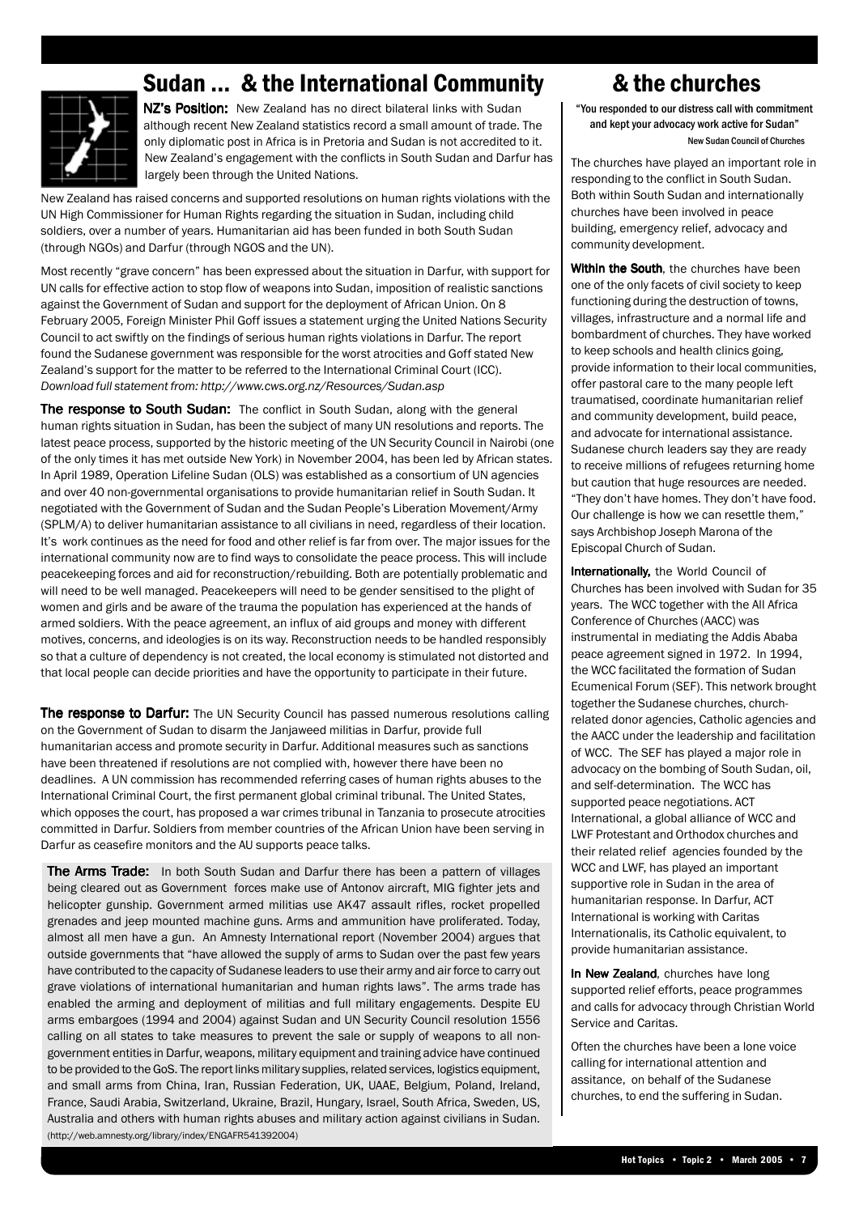### Sudan ... & the International Community & the churches

NZ's Position: New Zealand has no direct bilateral links with Sudan although recent New Zealand statistics record a small amount of trade. The only diplomatic post in Africa is in Pretoria and Sudan is not accredited to it. New Zealand's engagement with the conflicts in South Sudan and Darfur has largely been through the United Nations.

New Zealand has raised concerns and supported resolutions on human rights violations with the UN High Commissioner for Human Rights regarding the situation in Sudan, including child soldiers, over a number of years. Humanitarian aid has been funded in both South Sudan (through NGOs) and Darfur (through NGOS and the UN).

Most recently "grave concern" has been expressed about the situation in Darfur, with support for UN calls for effective action to stop flow of weapons into Sudan, imposition of realistic sanctions against the Government of Sudan and support for the deployment of African Union. On 8 February 2005, Foreign Minister Phil Goff issues a statement urging the United Nations Security Council to act swiftly on the findings of serious human rights violations in Darfur. The report found the Sudanese government was responsible for the worst atrocities and Goff stated New Zealand's support for the matter to be referred to the International Criminal Court (ICC). *Download full statement from: http://www.cws.org.nz/Resources/Sudan.asp*

The response to South Sudan: The conflict in South Sudan, along with the general human rights situation in Sudan, has been the subject of many UN resolutions and reports. The latest peace process, supported by the historic meeting of the UN Security Council in Nairobi (one of the only times it has met outside New York) in November 2004, has been led by African states. In April 1989, Operation Lifeline Sudan (OLS) was established as a consortium of UN agencies and over 40 non-governmental organisations to provide humanitarian relief in South Sudan. It negotiated with the Government of Sudan and the Sudan People's Liberation Movement/Army (SPLM/A) to deliver humanitarian assistance to all civilians in need, regardless of their location. It's work continues as the need for food and other relief is far from over. The major issues for the international community now are to find ways to consolidate the peace process. This will include peacekeeping forces and aid for reconstruction/rebuilding. Both are potentially problematic and will need to be well managed. Peacekeepers will need to be gender sensitised to the plight of women and girls and be aware of the trauma the population has experienced at the hands of armed soldiers. With the peace agreement, an influx of aid groups and money with different motives, concerns, and ideologies is on its way. Reconstruction needs to be handled responsibly so that a culture of dependency is not created, the local economy is stimulated not distorted and that local people can decide priorities and have the opportunity to participate in their future.

The response to Darfur: The UN Security Council has passed numerous resolutions calling on the Government of Sudan to disarm the Janjaweed militias in Darfur, provide full humanitarian access and promote security in Darfur. Additional measures such as sanctions have been threatened if resolutions are not complied with, however there have been no deadlines. A UN commission has recommended referring cases of human rights abuses to the International Criminal Court, the first permanent global criminal tribunal. The United States, which opposes the court, has proposed a war crimes tribunal in Tanzania to prosecute atrocities committed in Darfur. Soldiers from member countries of the African Union have been serving in Darfur as ceasefire monitors and the AU supports peace talks.

The Arms Trade: In both South Sudan and Darfur there has been a pattern of villages being cleared out as Government forces make use of Antonov aircraft, MIG fighter jets and helicopter gunship. Government armed militias use AK47 assault rifles, rocket propelled grenades and jeep mounted machine guns. Arms and ammunition have proliferated. Today, almost all men have a gun. An Amnesty International report (November 2004) argues that outside governments that "have allowed the supply of arms to Sudan over the past few years have contributed to the capacity of Sudanese leaders to use their army and air force to carry out grave violations of international humanitarian and human rights laws". The arms trade has enabled the arming and deployment of militias and full military engagements. Despite EU arms embargoes (1994 and 2004) against Sudan and UN Security Council resolution 1556 calling on all states to take measures to prevent the sale or supply of weapons to all nongovernment entities in Darfur, weapons, military equipment and training advice have continued to be provided to the GoS. The report links military supplies, related services, logistics equipment, and small arms from China, Iran, Russian Federation, UK, UAAE, Belgium, Poland, Ireland, France, Saudi Arabia, Switzerland, Ukraine, Brazil, Hungary, Israel, South Africa, Sweden, US, Australia and others with human rights abuses and military action against civilians in Sudan. (http://web.amnesty.org/library/index/ENGAFR541392004)

"You responded to our distress call with commitment and kept your advocacy work active for Sudan" New Sudan Council of Churches

The churches have played an important role in responding to the conflict in South Sudan. Both within South Sudan and internationally churches have been involved in peace building, emergency relief, advocacy and community development.

Within the South, the churches have been one of the only facets of civil society to keep functioning during the destruction of towns, villages, infrastructure and a normal life and bombardment of churches. They have worked to keep schools and health clinics going, provide information to their local communities, offer pastoral care to the many people left traumatised, coordinate humanitarian relief and community development, build peace, and advocate for international assistance. Sudanese church leaders say they are ready to receive millions of refugees returning home but caution that huge resources are needed. "They don't have homes. They don't have food. Our challenge is how we can resettle them," says Archbishop Joseph Marona of the Episcopal Church of Sudan.

Internationally, the World Council of Churches has been involved with Sudan for 35 years. The WCC together with the All Africa Conference of Churches (AACC) was instrumental in mediating the Addis Ababa peace agreement signed in 1972. In 1994, the WCC facilitated the formation of Sudan Ecumenical Forum (SEF). This network brought together the Sudanese churches, churchrelated donor agencies, Catholic agencies and the AACC under the leadership and facilitation of WCC. The SEF has played a major role in advocacy on the bombing of South Sudan, oil, and self-determination. The WCC has supported peace negotiations. ACT International, a global alliance of WCC and LWF Protestant and Orthodox churches and their related relief agencies founded by the WCC and LWF, has played an important supportive role in Sudan in the area of humanitarian response. In Darfur, ACT International is working with Caritas Internationalis, its Catholic equivalent, to provide humanitarian assistance.

In New Zealand, churches have long supported relief efforts, peace programmes and calls for advocacy through Christian World Service and Caritas.

Often the churches have been a lone voice calling for international attention and assitance, on behalf of the Sudanese churches, to end the suffering in Sudan.